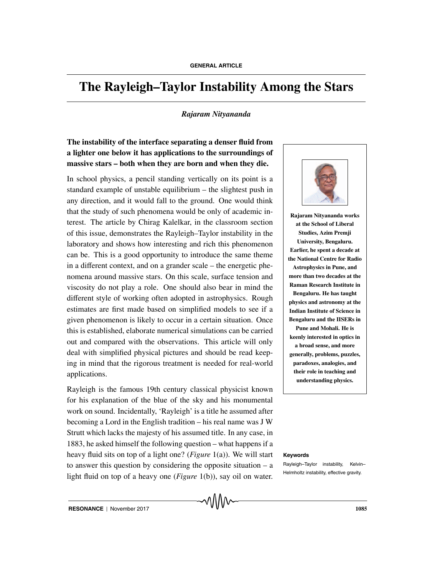# **The Rayleigh–Taylor Instability Among the Stars**

## *Rajaram Nityananda*

# **The instability of the interface separating a denser fluid from a lighter one below it has applications to the surroundings of massive stars – both when they are born and when they die.**

In school physics, a pencil standing vertically on its point is a standard example of unstable equilibrium – the slightest push in any direction, and it would fall to the ground. One would think that the study of such phenomena would be only of academic interest. The article by Chirag Kalelkar, in the classroom section of this issue, demonstrates the Rayleigh–Taylor instability in the laboratory and shows how interesting and rich this phenomenon can be. This is a good opportunity to introduce the same theme in a different context, and on a grander scale – the energetic phenomena around massive stars. On this scale, surface tension and viscosity do not play a role. One should also bear in mind the different style of working often adopted in astrophysics. Rough estimates are first made based on simplified models to see if a given phenomenon is likely to occur in a certain situation. Once this is established, elaborate numerical simulations can be carried out and compared with the observations. This article will only deal with simplified physical pictures and should be read keeping in mind that the rigorous treatment is needed for real-world applications.

Rayleigh is the famous 19th century classical physicist known for his explanation of the blue of the sky and his monumental work on sound. Incidentally, 'Rayleigh' is a title he assumed after becoming a Lord in the English tradition – his real name was J W Strutt which lacks the majesty of his assumed title. In any case, in 1883, he asked himself the following question – what happens if a heavy fluid sits on top of a light one? (*Figure* 1(a)). We will start **Keywords** to answer this question by considering the opposite situation – a light fluid on top of a heavy one (*Figure* 1(b)), say oil on water.



**Rajaram Nityananda works at the School of Liberal Studies, Azim Premji University, Bengaluru. Earlier, he spent a decade at the National Centre for Radio Astrophysics in Pune, and more than two decades at the Raman Research Institute in Bengaluru. He has taught physics and astronomy at the Indian Institute of Science in Bengaluru and the IISERs in Pune and Mohali. He is keenly interested in optics in a broad sense, and more generally, problems, puzzles, paradoxes, analogies, and their role in teaching and understanding physics.**

Rayleigh–Taylor instability, Kelvin– Helmholtz instability, effective gravity.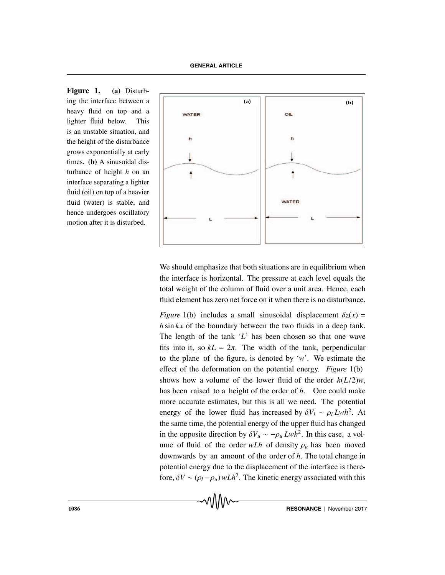**Figure 1. (a)** Disturbing the interface between a heavy fluid on top and a lighter fluid below. This is an unstable situation, and the height of the disturbance grows exponentially at early times. **(b)** A sinusoidal disturbance of height *h* on an interface separating a lighter fluid (oil) on top of a heavier fluid (water) is stable, and hence undergoes oscillatory motion after it is disturbed.



We should emphasize that both situations are in equilibrium when the interface is horizontal. The pressure at each level equals the total weight of the column of fluid over a unit area. Hence, each fluid element has zero net force on it when there is no disturbance.

*Figure* 1(b) includes a small sinusoidal displacement  $\delta z(x)$  = *h* sin *kx* of the boundary between the two fluids in a deep tank. The length of the tank '*L*' has been chosen so that one wave fits into it, so  $k = 2\pi$ . The width of the tank, perpendicular to the plane of the figure, is denoted by '*w*'. We estimate the effect of the deformation on the potential energy. *Figure* 1(b) shows how a volume of the lower fluid of the order *h*(*L*/2)*w*, has been raised to a height of the order of *h*. One could make more accurate estimates, but this is all we need. The potential energy of the lower fluid has increased by  $\delta V_l \sim \rho_l Lwh^2$ . At the same time, the potential energy of the upper fluid has changed in the opposite direction by  $\delta V_u \sim -\rho_u Lwh^2$ . In this case, a volume of fluid of the order  $wLh$  of density  $\rho_u$  has been moved downwards by an amount of the order of *h*. The total change in potential energy due to the displacement of the interface is therefore,  $\delta V \sim (\rho_l - \rho_u) w L h^2$ . The kinetic energy associated with this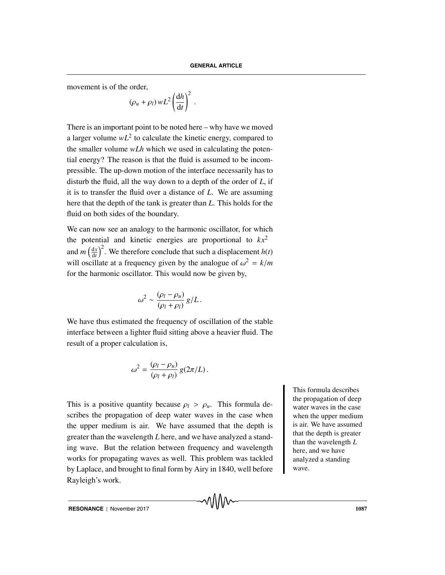movement is of the order,

$$
(\rho_u + \rho_l) w L^2 \left(\frac{\mathrm{d}h}{\mathrm{d}t}\right)^2.
$$

There is an important point to be noted here – why have we moved a larger volume  $wL^2$  to calculate the kinetic energy, compared to the smaller volume *wLh* which we used in calculating the potential energy? The reason is that the fluid is assumed to be incompressible. The up-down motion of the interface necessarily has to disturb the fluid, all the way down to a depth of the order of *L*, if it is to transfer the fluid over a distance of *L*. We are assuming here that the depth of the tank is greater than *L*. This holds for the fluid on both sides of the boundary.

We can now see an analogy to the harmonic oscillator, for which the potential and kinetic energies are proportional to  $kx^2$ and *m*  $\left(\frac{dx}{dt}\right)$  $\left(\frac{dx}{dt}\right)^2$ . We therefore conclude that such a displacement *h*(*t*) will oscillate at a frequency given by the analogue of  $\omega^2 = k/m$ for the harmonic oscillator. This would now be given by,

$$
\omega^2 \sim \frac{(\rho_l - \rho_u)}{(\rho_l + \rho_l)} g/L.
$$

We have thus estimated the frequency of oscillation of the stable interface between a lighter fluid sitting above a heavier fluid. The result of a proper calculation is,

$$
\omega^2 = \frac{(\rho_l - \rho_u)}{(\rho_l + \rho_l)} g(2\pi/L).
$$

This is a positive quantity because  $\rho_l > \rho_u$ . This formula describes the propagation of deep water waves in the case when the upper medium is air. We have assumed that the depth is greater than the wavelength *L* here, and we have analyzed a standing wave. But the relation between frequency and wavelength works for propagating waves as well. This problem was tackled by Laplace, and brought to final form by Airy in 1840, well before Rayleigh's work.

This formula describes the propagation of deep water waves in the case when the upper medium is air. We have assumed that the depth is greater than the wavelength *L* here, and we have analyzed a standing wave.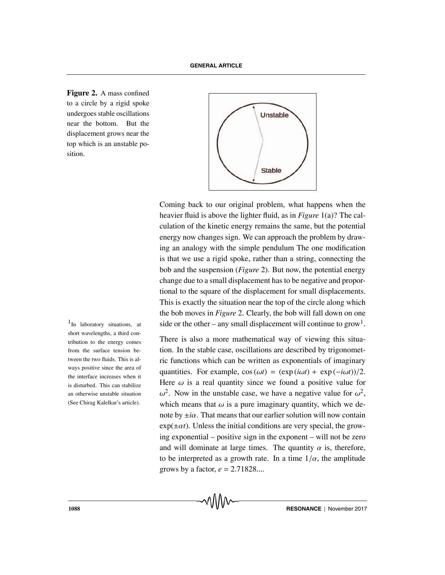**Figure 2.** A mass confined to a circle by a rigid spoke undergoes stable oscillations near the bottom. But the displacement grows near the top which is an unstable position.



Coming back to our original problem, what happens when the heavier fluid is above the lighter fluid, as in *Figure* 1(a)? The calculation of the kinetic energy remains the same, but the potential energy now changes sign. We can approach the problem by drawing an analogy with the simple pendulum The one modification is that we use a rigid spoke, rather than a string, connecting the bob and the suspension (*Figure* 2). But now, the potential energy change due to a small displacement has to be negative and proportional to the square of the displacement for small displacements. This is exactly the situation near the top of the circle along which the bob moves in *Figure* 2. Clearly, the bob will fall down on one <sup>1</sup>In laboratory situations, at side or the other – any small displacement will continue to grow<sup>1</sup>.

> There is also a more mathematical way of viewing this situation. In the stable case, oscillations are described by trigonometric functions which can be written as exponentials of imaginary quantities. For example,  $\cos(\omega t) = (\exp(i\omega t) + \exp(-i\omega t))/2$ . Here  $\omega$  is a real quantity since we found a positive value for  $\omega^2$ . Now in the unstable case, we have a negative value for  $\omega^2$ , which means that  $\omega$  is a pure imaginary quantity, which we denote by  $\pm i\alpha$ . That means that our earlier solution will now contain  $exp(\pm \alpha t)$ . Unless the initial conditions are very special, the growing exponential – positive sign in the exponent – will not be zero and will dominate at large times. The quantity  $\alpha$  is, therefore, to be interpreted as a growth rate. In a time  $1/\alpha$ , the amplitude grows by a factor,  $e = 2.71828...$

short wavelengths, a third contribution to the energy comes from the surface tension between the two fluids. This is always positive since the area of the interface increases when it is disturbed. This can stabilize an otherwise unstable situation (See Chirag Kalelkar's article).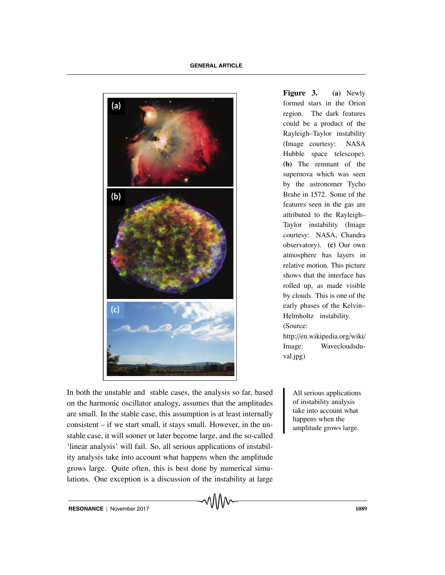

**Figure 3. (a)** Newly formed stars in the Orion region. The dark features could be a product of the Rayleigh–Taylor instability (Image courtesy: NASA Hubble space telescope). **(b)** The remnant of the supernova which was seen by the astronomer Tycho Brahe in 1572. Some of the features seen in the gas are attributed to the Rayleigh– Taylor instability (Image courtesy: NASA, Chandra observatory). **(c)** Our own atmosphere has layers in relative motion. This picture shows that the interface has rolled up, as made visible by clouds. This is one of the early phases of the Kelvin– Helmholtz instability. (Source: http://en.wikipedia.org/wiki/ Image: Wavecloudsdu-

In both the unstable and stable cases, the analysis so far, based All serious applications on the harmonic oscillator analogy, assumes that the amplitudes are small. In the stable case, this assumption is at least internally consistent – if we start small, it stays small. However, in the unstable case, it will sooner or later become large, and the so-called 'linear analysis' will fail. So, all serious applications of instability analysis take into account what happens when the amplitude grows large. Quite often, this is best done by numerical simulations. One exception is a discussion of the instability at large

of instability analysis take into account what happens when the amplitude grows large.

val.jpg)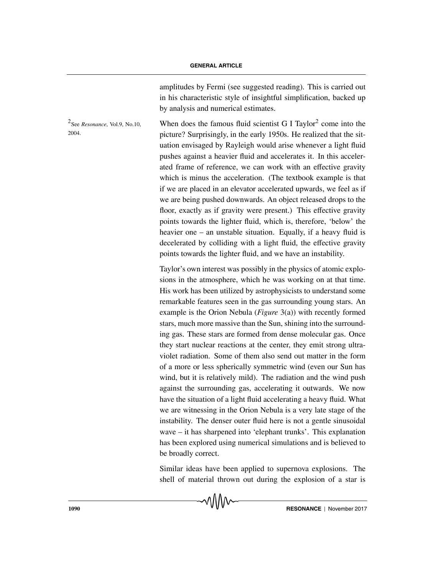amplitudes by Fermi (see suggested reading). This is carried out in his characteristic style of insightful simplification, backed up by analysis and numerical estimates.

 $^2$ See *Resonance*, Vol.9, No.10, When does the famous fluid scientist G I Taylor<sup>2</sup> come into the 2004. picture? Surprisingly, in the early 1950s. He realized that the situation envisaged by Rayleigh would arise whenever a light fluid pushes against a heavier fluid and accelerates it. In this accelerated frame of reference, we can work with an effective gravity which is minus the acceleration. (The textbook example is that if we are placed in an elevator accelerated upwards, we feel as if we are being pushed downwards. An object released drops to the floor, exactly as if gravity were present.) This effective gravity points towards the lighter fluid, which is, therefore, 'below' the heavier one – an unstable situation. Equally, if a heavy fluid is decelerated by colliding with a light fluid, the effective gravity points towards the lighter fluid, and we have an instability.

> Taylor's own interest was possibly in the physics of atomic explosions in the atmosphere, which he was working on at that time. His work has been utilized by astrophysicists to understand some remarkable features seen in the gas surrounding young stars. An example is the Orion Nebula (*Figure* 3(a)) with recently formed stars, much more massive than the Sun, shining into the surrounding gas. These stars are formed from dense molecular gas. Once they start nuclear reactions at the center, they emit strong ultraviolet radiation. Some of them also send out matter in the form of a more or less spherically symmetric wind (even our Sun has wind, but it is relatively mild). The radiation and the wind push against the surrounding gas, accelerating it outwards. We now have the situation of a light fluid accelerating a heavy fluid. What we are witnessing in the Orion Nebula is a very late stage of the instability. The denser outer fluid here is not a gentle sinusoidal wave – it has sharpened into 'elephant trunks'. This explanation has been explored using numerical simulations and is believed to be broadly correct.

> Similar ideas have been applied to supernova explosions. The shell of material thrown out during the explosion of a star is